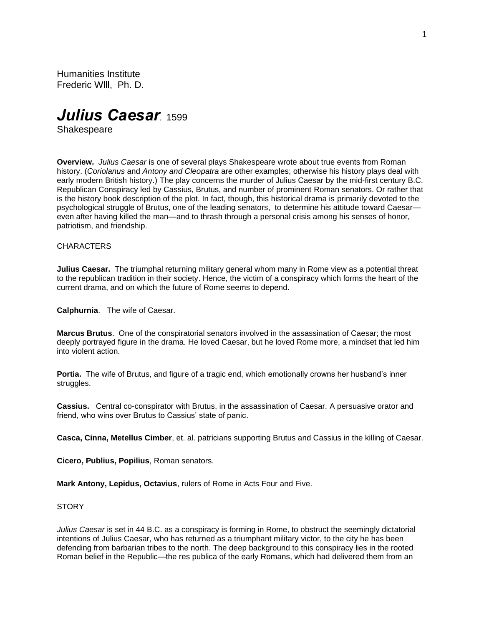Humanities Institute Frederic Wlll, Ph. D.

*Julius Caesar.* <sup>1599</sup>

**Shakespeare** 

**Overview.** *Julius Caesar* is one of several plays Shakespeare wrote about true events from Roman history. (*Coriolanus* and *Antony and Cleopatra* are other examples; otherwise his history plays deal with early modern British history.) The play concerns the murder of Julius Caesar by the mid-first century B.C. Republican Conspiracy led by Cassius, Brutus, and number of prominent Roman senators. Or rather that is the history book description of the plot. In fact, though, this historical drama is primarily devoted to the psychological struggle of Brutus, one of the leading senators, to determine his attitude toward Caesar even after having killed the man—and to thrash through a personal crisis among his senses of honor, patriotism, and friendship.

### **CHARACTERS**

**Julius Caesar.** The triumphal returning military general whom many in Rome view as a potential threat to the republican tradition in their society. Hence, the victim of a conspiracy which forms the heart of the current drama, and on which the future of Rome seems to depend.

**Calphurnia**. The wife of Caesar.

**Marcus Brutus**. One of the conspiratorial senators involved in the assassination of Caesar; the most deeply portrayed figure in the drama. He loved Caesar, but he loved Rome more, a mindset that led him into violent action.

**Portia.** The wife of Brutus, and figure of a tragic end, which emotionally crowns her husband's inner struggles.

**Cassius.** Central co-conspirator with Brutus, in the assassination of Caesar. A persuasive orator and friend, who wins over Brutus to Cassius' state of panic.

**Casca, Cinna, Metellus Cimber**, et. al. patricians supporting Brutus and Cassius in the killing of Caesar.

**Cicero, Publius, Popilius**, Roman senators.

**Mark Antony, Lepidus, Octavius**, rulers of Rome in Acts Four and Five.

## STORY

*Julius Caesar* is set in 44 B.C. as a conspiracy is forming in Rome, to obstruct the seemingly dictatorial intentions of Julius Caesar, who has returned as a triumphant military victor, to the city he has been defending from barbarian tribes to the north. The deep background to this conspiracy lies in the rooted Roman belief in the Republic—the res publica of the early Romans, which had delivered them from an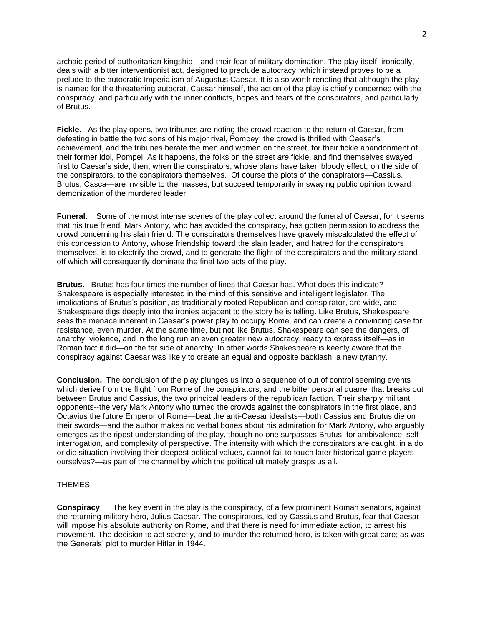archaic period of authoritarian kingship—and their fear of military domination. The play itself, ironically, deals with a bitter interventionist act, designed to preclude autocracy, which instead proves to be a prelude to the autocratic Imperialism of Augustus Caesar. It is also worth renoting that although the play is named for the threatening autocrat, Caesar himself, the action of the play is chiefly concerned with the conspiracy, and particularly with the inner conflicts, hopes and fears of the conspirators, and particularly of Brutus.

**Fickle**. As the play opens, two tribunes are noting the crowd reaction to the return of Caesar, from defeating in battle the two sons of his major rival, Pompey; the crowd is thrilled with Caesar's achievement, and the tribunes berate the men and women on the street, for their fickle abandonment of their former idol, Pompei. As it happens, the folks on the street *are* fickle, and find themselves swayed first to Caesar's side, then, when the conspirators, whose plans have taken bloody effect, on the side of the conspirators, to the conspirators themselves. Of course the plots of the conspirators—Cassius. Brutus, Casca—are invisible to the masses, but succeed temporarily in swaying public opinion toward demonization of the murdered leader.

**Funeral.** Some of the most intense scenes of the play collect around the funeral of Caesar, for it seems that his true friend, Mark Antony, who has avoided the conspiracy, has gotten permission to address the crowd concerning his slain friend. The conspirators themselves have gravely miscalculated the effect of this concession to Antony, whose friendship toward the slain leader, and hatred for the conspirators themselves, is to electrify the crowd, and to generate the flight of the conspirators and the military stand off which will consequently dominate the final two acts of the play.

**Brutus.** Brutus has four times the number of lines that Caesar has. What does this indicate? Shakespeare is especially interested in the mind of this sensitive and intelligent legislator. The implications of Brutus's position, as traditionally rooted Republican and conspirator, are wide, and Shakespeare digs deeply into the ironies adjacent to the story he is telling. Like Brutus, Shakespeare sees the menace inherent in Caesar's power play to occupy Rome, and can create a convincing case for resistance, even murder. At the same time, but not like Brutus, Shakespeare can see the dangers, of anarchy. violence, and in the long run an even greater new autocracy, ready to express itself—as in Roman fact it did—on the far side of anarchy. In other words Shakespeare is keenly aware that the conspiracy against Caesar was likely to create an equal and opposite backlash, a new tyranny.

**Conclusion.** The conclusion of the play plunges us into a sequence of out of control seeming events which derive from the flight from Rome of the conspirators, and the bitter personal quarrel that breaks out between Brutus and Cassius, the two principal leaders of the republican faction. Their sharply militant opponents--the very Mark Antony who turned the crowds against the conspirators in the first place, and Octavius the future Emperor of Rome—beat the anti-Caesar idealists—both Cassius and Brutus die on their swords—and the author makes no verbal bones about his admiration for Mark Antony, who arguably emerges as the ripest understanding of the play, though no one surpasses Brutus, for ambivalence, selfinterrogation, and complexity of perspective. The intensity with which the conspirators are caught, in a do or die situation involving their deepest political values, cannot fail to touch later historical game players ourselves?—as part of the channel by which the political ultimately grasps us all.

### **THEMES**

**Conspiracy** The key event in the play is the conspiracy, of a few prominent Roman senators, against the returning military hero, Julius Caesar. The conspirators, led by Cassius and Brutus, fear that Caesar will impose his absolute authority on Rome, and that there is need for immediate action, to arrest his movement. The decision to act secretly, and to murder the returned hero, is taken with great care; as was the Generals' plot to murder Hitler in 1944.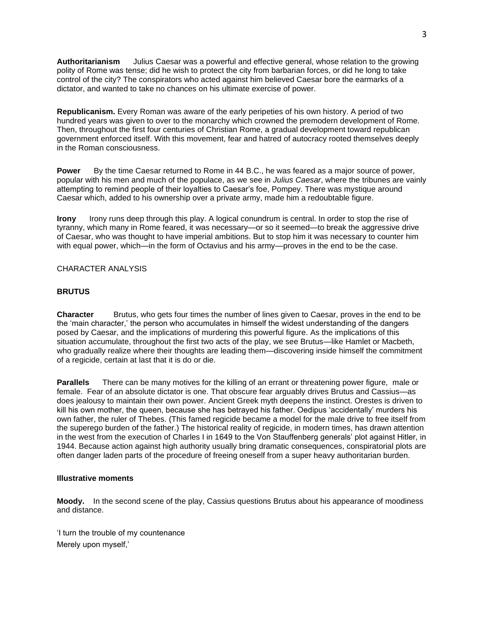**Authoritarianism** Julius Caesar was a powerful and effective general, whose relation to the growing polity of Rome was tense; did he wish to protect the city from barbarian forces, or did he long to take control of the city? The conspirators who acted against him believed Caesar bore the earmarks of a dictator, and wanted to take no chances on his ultimate exercise of power.

**Republicanism.** Every Roman was aware of the early peripeties of his own history. A period of two hundred years was given to over to the monarchy which crowned the premodern development of Rome. Then, throughout the first four centuries of Christian Rome, a gradual development toward republican government enforced itself. With this movement, fear and hatred of autocracy rooted themselves deeply in the Roman consciousness.

**Power** By the time Caesar returned to Rome in 44 B.C., he was feared as a major source of power, popular with his men and much of the populace, as we see in *Julius Caesar*, where the tribunes are vainly attempting to remind people of their loyalties to Caesar's foe, Pompey. There was mystique around Caesar which, added to his ownership over a private army, made him a redoubtable figure.

**Irony** Irony runs deep through this play. A logical conundrum is central. In order to stop the rise of tyranny, which many in Rome feared, it was necessary—or so it seemed—to break the aggressive drive of Caesar, who was thought to have imperial ambitions. But to stop him it was necessary to counter him with equal power, which—in the form of Octavius and his army—proves in the end to be the case.

# CHARACTER ANALYSIS

## **BRUTUS**

**Character** Brutus, who gets four times the number of lines given to Caesar, proves in the end to be the 'main character,' the person who accumulates in himself the widest understanding of the dangers posed by Caesar, and the implications of murdering this powerful figure. As the implications of this situation accumulate, throughout the first two acts of the play, we see Brutus—like Hamlet or Macbeth, who gradually realize where their thoughts are leading them—discovering inside himself the commitment of a regicide, certain at last that it is do or die.

**Parallels** There can be many motives for the killing of an errant or threatening power figure, male or female. Fear of an absolute dictator is one. That obscure fear arguably drives Brutus and Cassius—as does jealousy to maintain their own power. Ancient Greek myth deepens the instinct. Orestes is driven to kill his own mother, the queen, because she has betrayed his father. Oedipus 'accidentally' murders his own father, the ruler of Thebes. (This famed regicide became a model for the male drive to free itself from the superego burden of the father.) The historical reality of regicide, in modern times, has drawn attention in the west from the execution of Charles I in 1649 to the Von Stauffenberg generals' plot against Hitler, in 1944. Because action against high authority usually bring dramatic consequences, conspiratorial plots are often danger laden parts of the procedure of freeing oneself from a super heavy authoritarian burden.

## **Illustrative moments**

**Moody.** In the second scene of the play, Cassius questions Brutus about his appearance of moodiness and distance.

'I turn the trouble of my countenance Merely upon myself,'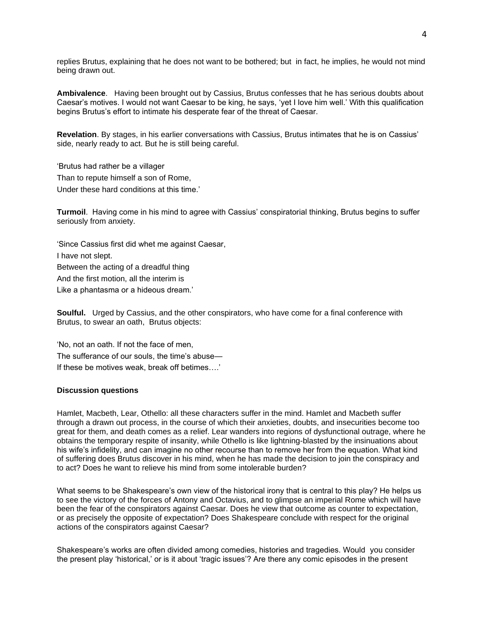replies Brutus, explaining that he does not want to be bothered; but in fact, he implies, he would not mind being drawn out.

**Ambivalence**. Having been brought out by Cassius, Brutus confesses that he has serious doubts about Caesar's motives. I would not want Caesar to be king, he says, 'yet I love him well.' With this qualification begins Brutus's effort to intimate his desperate fear of the threat of Caesar.

**Revelation**. By stages, in his earlier conversations with Cassius, Brutus intimates that he is on Cassius' side, nearly ready to act. But he is still being careful.

'Brutus had rather be a villager Than to repute himself a son of Rome, Under these hard conditions at this time.'

**Turmoil**. Having come in his mind to agree with Cassius' conspiratorial thinking, Brutus begins to suffer seriously from anxiety.

'Since Cassius first did whet me against Caesar, I have not slept. Between the acting of a dreadful thing And the first motion, all the interim is Like a phantasma or a hideous dream.'

**Soulful.** Urged by Cassius, and the other conspirators, who have come for a final conference with Brutus, to swear an oath, Brutus objects:

'No, not an oath. If not the face of men, The sufferance of our souls, the time's abuse— If these be motives weak, break off betimes….'

### **Discussion questions**

Hamlet, Macbeth, Lear, Othello: all these characters suffer in the mind. Hamlet and Macbeth suffer through a drawn out process, in the course of which their anxieties, doubts, and insecurities become too great for them, and death comes as a relief. Lear wanders into regions of dysfunctional outrage, where he obtains the temporary respite of insanity, while Othello is like lightning-blasted by the insinuations about his wife's infidelity, and can imagine no other recourse than to remove her from the equation. What kind of suffering does Brutus discover in his mind, when he has made the decision to join the conspiracy and to act? Does he want to relieve his mind from some intolerable burden?

What seems to be Shakespeare's own view of the historical irony that is central to this play? He helps us to see the victory of the forces of Antony and Octavius, and to glimpse an imperial Rome which will have been the fear of the conspirators against Caesar. Does he view that outcome as counter to expectation, or as precisely the opposite of expectation? Does Shakespeare conclude with respect for the original actions of the conspirators against Caesar?

Shakespeare's works are often divided among comedies, histories and tragedies. Would you consider the present play 'historical,' or is it about 'tragic issues'? Are there any comic episodes in the present